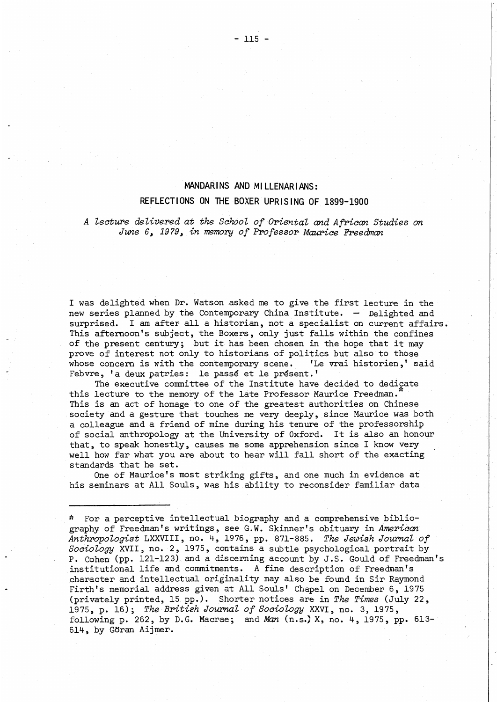## MANDARINS AND MILLENARIANS: REFLECTIONS ON THE BOXER UPRISING OF 1899-1900

*A l,ecture deUvered at the School, of Oriental, and African Studies on*  June 6, 1979, in memory of Professor Maurice Freedman

I was delighted when Dr. Watson asked me to give the first lecture in the new series planned by the Contemporary China Institute. - Delighted and surprised. I am after all a historian, not a specialist on current affairs. This afternoon's subject, the Boxers, only just falls within the confines of the present century; but it has been chosen in the hope that it may prove of interest not only to historians of politics but also to those<br>whose concern is with the contemporary scene. 'Le vrai historien,' said whose concern is with the contemporary scene. Febvre, 'a deux patries: le passé et le présent.'

The executive committee of the Institute have decided to dedicate this lecture to the memory of the late Professor Maurice Freedman. This is an act of homage to one of the greatest authorities on Chinese society and a gesture that touches me very deeply, since Maurice was both a colleague and a friend of mine during his tenure of the professorship of social anthropology at the University of Oxford. It is also an honour that, to speak honestly, causes me some apprehension since I know very well how far what you are about to hear will fall short of the exacting standards that he set.

One of Maurice's most striking gifts, and one much in evidence at his seminars at All Souls, was his ability to reconsider familiar data

1: For a perceptive intellectual biography and a comprehensive bibliography of Freedman's writings, see G.W. Skinner's obituary in *American Anthropol,ogist* LXXVIII, no. 4, 1976, pp. 871-885. *The Jewish Journal, of*  Sociology XVII, no. 2, 1975, contains a subtle psychological portrait by P. Cohen (pp. 121-123) and a discerning account by J.S. Gould of Freedman's institutional life and commitments. A fine description of Freedman's character and intellectual originality may also be found in Sir Raymond Firth's memorial address given at All Souls' Chapel on December 6, 1975 (privately printed, 15 pp.). Shorter notices are in *The Times* (July 22, 1975, p. 16); *The British Journal, of Sociol,ogy* XXVI, no. 3, 1975, following p. 262, by D.G. Macrae; and *Man* (n.s.)X, no. 4,1975, pp. 613- 614, by Göran Aijmer.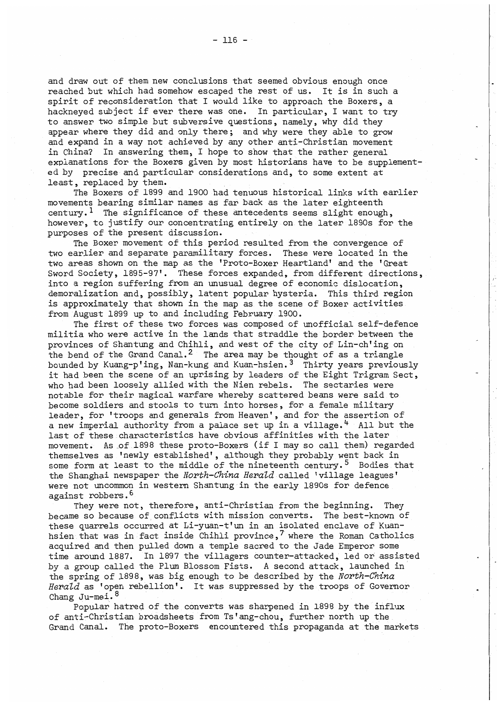and draw out of them new conclusions that seemed obvious enough once reached but which had somehow escaped the rest of us. It is in such a spirit of reconsideration that I would like to approach the Boxers, a hackneyed subject if ever there was one. In particular, I want to try to answer two simple but subversive questions, namely, why did they appear where they did and only there; and why were they able to grow and expand in a way not achieved by any other anti-Christian movement in China? In answering them, I hope to show that the rather general explanations for the Boxers given by most historians have to be supplemented by precise and particular considerations and, to some extent at least, replaced by them.

The Boxers of 1899 and 1900 had tenuous historical links with earlier movements bearing similar names as far back as the later eighteenth century.<sup>1</sup> The significance of these antecedents seems slight enough, however, to justify our concentrating entirely on the later 1890s for the purposes of the present discussion.

The Boxer movement of this period resulted from the convergence of two earlier and separate paramilitary forces. These were located in the two areas shown on the map as the 'Proto-Boxer Heartland' and the 'Great Sword Society, 1895-97'. These forces expanded, from different directions, into a region suffering from an unusual degree of economic dislocation, demoralization and, possibly, latent popular hysteria. This third region is approximately that shown in the map as the scene of Boxer activities from August 1899 up to and including February 1900.

The first of these two forces was composed of unofficial self-defence militia who were active in the lands that straddle the border between the provinces of Shantung and Chihli, and west of the city of Lin-ch' ing on the bend of the Grand Canal.<sup>2</sup> The area may be thought of as a triangle bounded by Kuang-p'ing, Nan-kung and Kuan-hsien.<sup>3</sup> Thirty years previously it had been the scene of an uprising by leaders of the Eight Trigram Sect, who had been loosely allied with the Nien rebels. The sectaries were notable for their magical warfare whereby scattered beans were said to become soldiers and stools to turn into horses, for a female military leader, for 'troops and generals from Heaven', and for the assertion of a new imperial authority from a palace set up in a village. 4 All but the last of these characteristics have obvious affinities with the later movement. As of 1898 these proto-Boxers (if I may so call them) regarded themselves as 'newly established', although they probably went back in some form at least to the middle of the nineteenth century.<sup>5</sup> Bodies that the Shanghai newspaper the *North-China Herald* called 'village leagues' were not uncommon in western Shantung' in the early 1890s for defence against robbers. 6

They were not, therefore, anti-Christian from the beginning. They became so because of conflicts with mission converts. The best-known of these quarrels occurred at Li-yuan-t'un in an isolated enclave of Kuanhsien that was in fact inside Chihli province,<sup>7</sup> where the Roman Catholics acquired and then pulled down a temple sacred to the Jade Emperor some time around 1887. In 1897 the villagers counter-attacked, led or assisted by a group called the Plum Blossom Fists. A second attack, launched in' the spring of 1898, was big enough to be described by the *North-China*  Herald as 'open rebellion'. It was suppressed by the troops of Governor Chang Ju-mei. 8

Popular hatred of the converts was sharpened in 1898 by the influx of anti-Christian broadsheets from Ts'ang-chou, further north up the Grand Canal. The proto-Boxers encountered this propaganda at the markets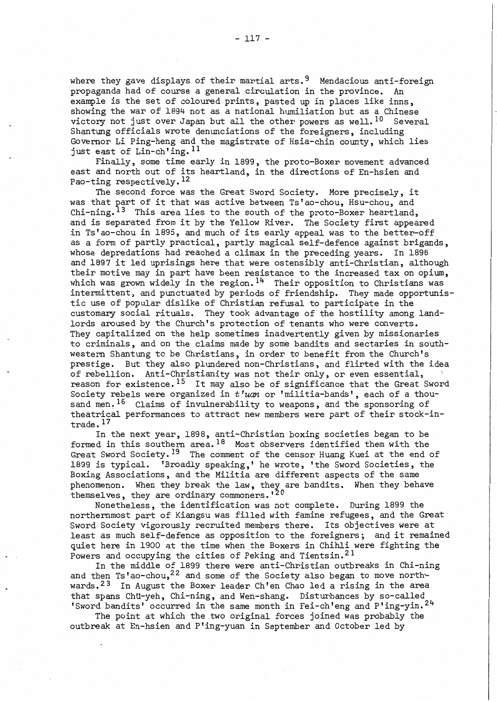where they gave displays of their martial arts.<sup>9</sup> Mendacious anti-foreign propaganda had of course a general circulation in the province. An example is the set of coloured prints, pasted up in places like inns, showing the war of 1894 not as a national humiliation but as a Chinese victory not just over Japan but all the other powers as well.  $^{10}$  Several Shantung officials wrote denunciations of the foreigners, including Governor Li Ping-heng and the magistrate of Hsia-chin county, which lies just east of Lin-ch'ing. <sup>11</sup>

Finally, some time early in 1899, the proto-Boxer movement advanced east and north out of its heartland, in the directions of En-hsien and Pao-ting respectively.<sup>12</sup>

The second force was the Great Sword Society. More precisely, it was that part of it that was active between Ts'ao-chou, Hsu-chou, and  $Chi$ -ning.<sup>13</sup> This area lies to the south of the proto-Boxer heartland, and is separated from it by the Yellow River. The Society first appeared in Ts' ao-chou in 1895, and much of its early appeal was to the better-off as a form of partly practical, partly magical self-defence against brigands, whose depredations had reached a climax in the preceding years. In 1896 and 1897 it led uprisings here that were ostensibly anti-Christian, although their motive may in part have been resistance to the increased tax on opium, which was grown widely in the region.<sup>14</sup> Their opposition to Christians was intermittent, and punctuated by periods of friendship. They made opportunistic use of popular dislike of Christian refusal to participate in the customary social rituals. They took advantage of the hostility among landlords aroused by the Church's protection of tenants who were converts. They capitalized on the help sometimes inadvertently given by missionaries to criminals, and on the claims made by some bandits and sectaries in southwestern Shantung to be Christians, in order to benefit from the Church's prestige. But they also plundered non~Christians, and flirted with the idea of rebellion. Anti-Christianity was not their only, or even essential, \ reason for existence.<sup>15</sup> It may also be of significance that the Great Sword Society rebels were organized in *t'uan* or 'militia-bands', each of a thousand men. <sup>16</sup> Claims of invulnerability to weapons, and the sponsoring of theatrical performances to attract new members were part of their stock-intrade. 17

In the next year, 1898, anti-Christian boxing societies began to be formed in this southern area. 18 Most observers identified them with the Great Sword Society.<sup>19</sup> The comment of the censor Huang Kuei at the end of 1899 is typical. 'Broadly speaking,' he wrote, 'the Sword Societies, the Boxing Associations, and the Militia are different aspects of the same phenomenon. When they break the law, they are bandits. When they behave themselves, they are ordinary commoners.  $^{120}$ 

Nonetheless, the identification was not complete. During 1899 the northernmost part of Kiangsu was filled with famine refugees, and the Great Sword Society vigorously recruited members there. Its objectives were at least as much self-defence as opposition to the foreigners; and it remained quiet here in 1900 at the time when the Boxers in Chihli were fighting the Powers and occupying the cities of Peking and Tientsin. 21

In the middle of 1899 there were anti-Christian outbreaks in Chi-ning and then Ts'ao-chou,<sup>22</sup> and some of the Society also began to move northwards. 23 In August the Boxer leader Ch'en Chao led a rising in the area that spans ChU-yeh, Chi~ning, and Wen-shang. Disturbances by so-called 'Sword bandits' occurred in the same month in Fei-ch'eng and P'ing-yin.<sup>24</sup>

The point at which the two original forces joined was probably the outbreak at En-hsien and P'ing-yuan in September and October led by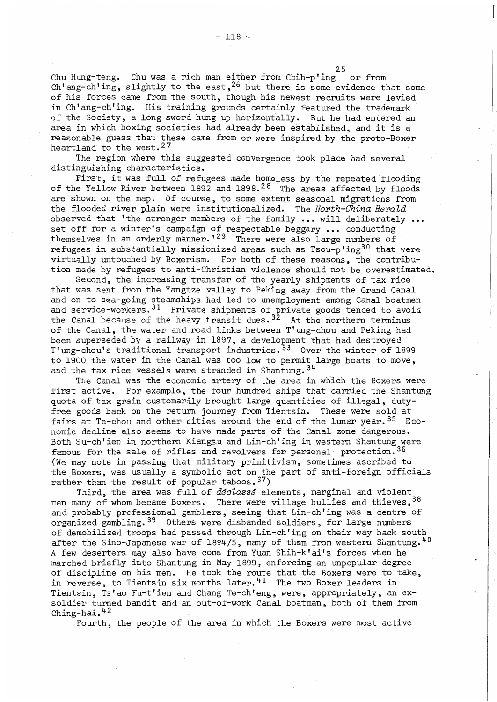25 Chu Hung-teng. Chu was a rich man either from Chih-p' ing or from Ch'ang-ch'ing, slightly to the east,  $2^6$  but there is some evidence that some of his forces came from the south, though his newest recruits were levied in Ch'ang-ch'ing. His training grounds certainly featured the trademark of the Society, a long sword hung up horizontally. But he had entered an area in which boxing societies had already been established, and it is a reasonable guess that these came from or were inspired by the proto-Boxer heartland to the west.<sup>27</sup>

The region where this suggested convergence took place had several distinguishing characteristics.

First, it was full of refugees made homeless by the repeated flooding of the Yellow River between 1892 and 1898.<sup>28</sup> The areas affected by floods are shown on the map. Of course, to some extent seasonal migrations from the flooded river plain were institutionalized. The *North-China Herald* observed that 'the stronger members of the **family ...** will deliberately set off for a winter's campaign of respectable beggary **•••** conducting themselves in an orderly manner.<sup>129</sup> There were also large numbers of refugees in substantially missionized areas such as Tsou-p'ing<sup>30</sup> that were virtually untouched by Boxerism. For both of these reasons, the contribution made by refugees to anti-Christian violence should not be overestimated.

Second, the increasing transfer of the yearly shipments of tax rice that was sent from the Yangtze valley to Peking away from the Grand Canal and on to sea-going steamships had led to unemployment among Canal boatmen and service-workers. 31 Private shipments of private goods tended to avoid the Canal because of the heavy transit dues.  $32$  At the northern terminus of the Canal, the water and road links between T'ung-chou and Peking had been superseded by a railway in 1897, a development that had destroyed T'ung-chou's traditional transport industries. 33 Over the winter of 1899 to 1900 the water in the Canal was too low to permit large boats to move, and the tax rice vessels were stranded in Shantung. 34

The Canal was the economic artery of the area in which the Boxers were first active. For example, the four hundred ships that carried the Shantung quota of tax grain customarily brought large quantities of illegal, dutyfree goods back on the return journey from Tientsin. These were sold at fairs at Te-chou and other cities around the end of the lunar year. 35 Economic decline also seems to have made parts of the Canal zone dangerous. Both Su-ch'ien in northern Kiangsu and Lin-ch'ing in western Shantung were famous for the sale of rifles and revolvers for personal protection. 36 (We may note in passing that military primitivism, sometimes ascribed to the Boxers, was usually a symbolic act on the part of anti-foreign officials rather than the result of popular taboos. 37)

Third, the area was full of declasse elements, marginal and violent men many of whom became Boxers. There were village bullies and thieves, 38 and probably professional gamblers, seeing that Lin-ch'ing was a centre of organized gambling. 39 Others were disbanded soldiers, for large numbers of demobilized troops had passed through Lin-ch'ing on their way back south after the Sino-Japanese war of 1894/5, many of them from western Shantung.<sup>40</sup> A few deserters may also have come from Yuan Shih-k'ai's forces when he marched briefly into Shantung in May 1899, enforcing an unpopular degree of discipline on his men. He took the route that the Boxers were to take, in reverse, to Tientsin six months later.<sup>41</sup> The two Boxer leaders in Tientsin, Ts' ao Fu-t' ien and Chang Te-ch 'eng, were, appropriately, an exsoldier turned bandit and an out-of-work Canal boatman, both of them from Ching-hai. 42

Fourth, the people of the area in which the Boxers were most active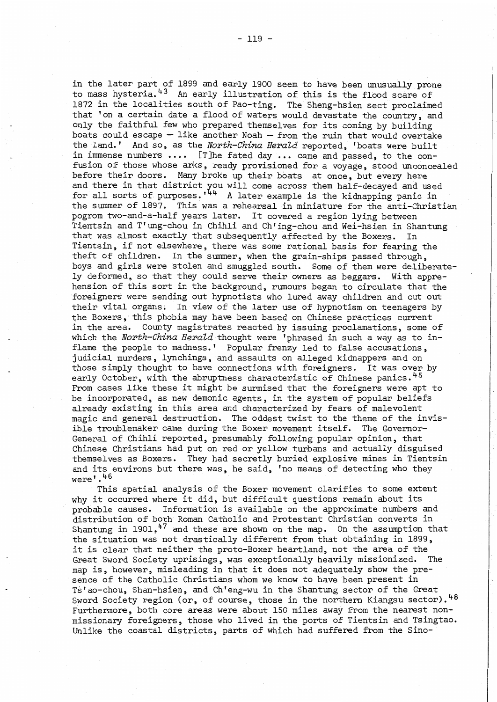in the later part of 1899 and early 1900 seem to have been unusually prone to mass hysteria.<sup>43</sup> An early illustration of this is the flood scare of 1872 in the localities south of Pao-ting. The Sheng-hsien sect proclaimed that 'on a certain date a flood of waters would devastate the country, and only the faithful few who prepared themselves for its coming by building boats could escape  $-$  like another Noah  $-$  from the ruin that would overtake the land.' And so, as the *North-China Herald* reported, 'boats were built in immense numbers .... [T]he fated day ... came and passed, to the confusion of those whose arks, ready provisioned for a voyage, stood unconcealed before their doors. Many broke up their boats at once, but every here and there in that district you will come across them half-decayed and used for all sorts of purposes.'<sup>44</sup> A later example is the kidnapping panic in the swnmer of 1897. This was a rehearsal in miniature for the anti-Christian pogrom two-and-a-half years later. It covered a region lying between Tientsin and T'ung-chou in Chihli and Ch'ing-chou and Wei-hsien in Shantung that was almost exactly that subsequently affected by the Boxers. In Tientsin, if not elsewhere, there was some rational basis for fearing the theft of children. In the swnmer, when the grain-ships passed through, boys and girls were stolen and smuggled south. Some of them were deliberately deformed, so that they could serve their owners as beggars. With apprehension of this sort in the background, rwnours began to circulate that the foreigners were sending out hypnotists who lured away children and cut out their vital organs; In view of the later use of hypnotism on teenagers by the Boxers,· this phobia may have been based on Chinese practices current in the area. County magistrates reacted by issuing proclamations, some of which the *North-China Herald* thought were 'phrased in such a way as to inflame the people to madness.' Popular frenzy led to false accusations, judicial murders, lynchings, and assaults on alleged kidnappers and on those simply thought to have connections with foreigners. It was over by early October, with the abruptness characteristic of Chinese panics.<sup>45</sup> From cases like these it might be surmised that the foreigners were apt to be incorporated, as new demonic agents, in the system of popular beliefs already existing in this area and characterized by fears of malevolent

magic and general destruction. The oddest twist to the theme of the invisible troublemaker came during the Boxer movement itself. The Governor-General of Chihli reported, preswnably following popular opinion, that Chinese Christians had put on red or yellow turbans and actually disguised themselves as Boxers. They had secretly buried explosive mines in Tientsin and its environs but there was, he said, 'no means of detecting who they were' .46

This spatial analysis of the Boxer movement clarifies to some extent why it occurred where it did, but difficult questions remain about its probable causes. Information is available on the approximate nwnbers and distribution of both Roman Catholic and Protestant Christian converts in Shantung in 1901,<sup>47</sup> and these are shown on the map. On the assumption that the situation was not drastically different from that obtaining in 1899, it is clear that neither the proto-Boxer heartland, not the area of the<br>Great Sword Society uprisings, was exceptionally heavily missionized. The Great Sword Society uprisings, was exceptionally heavily missionized. map is, however, misleading in that it does not adequately show the presence of the Catholic Christians whom we know to have been present in Ts'ao-chou, Shan-hsien, and Ch'eng-wu in the Shantung sector of the Great Sword Society region (or, of course, those in the northern Kiangsu sector).<sup>48</sup> Furthermore, both core areas were about 150 miles away from the nearest nonmissionary foreigners, those who lived in the ports of Tientsin and Tsingtao. Unlike the coastal districts, parts of which had suffered from the Sino-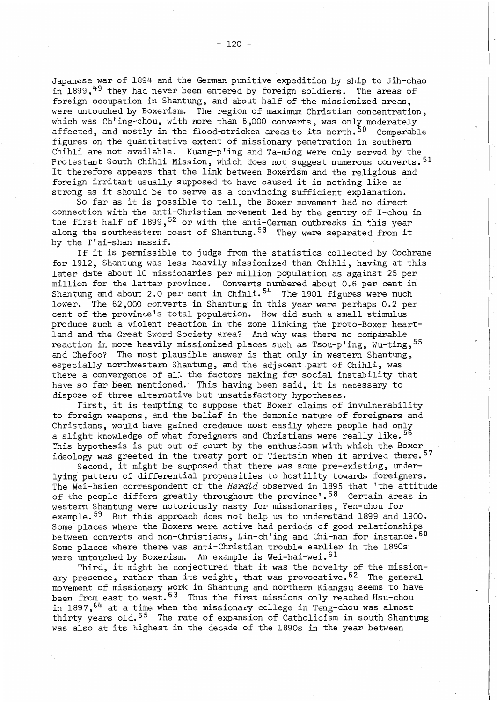Japanese war of 1894 and the German punitive expedition by ship to Jih-chao in 1899,<sup>49</sup> they had never been entered by foreign soldiers. The areas of foreign occupation in Shantung, and about half of the missionized areas, were untouched by Boxerism. The region of maximum Christian concentration, which was Ch'ing-chou, with more than 6,000 converts, was only moderately affected, and mostly in the flood-stricken areas to its north.<sup>50</sup> Comparable figures on the quantitative extent of missionary penetration in southern Chihli are not available. Kuang-p'ing and Ta-ming were only served by the Protestant South Chihli Mission, which does not suggest numerous converts.<sup>51</sup>

It therefore appears that the link between Boxerism and the religious and foreign irritant usually supposed to have caused it is nothing like as strong as it should be to serve as a convincing sufficient explanation. So far as it is possible to tell, the Boxer movement had no direct connection with the anti-Christian movement led by the gentry of I-chou in

the first half of 1899,<sup>52</sup> or with the anti-German outbreaks in this year along the southeastern coast of Shantung.<sup>53</sup> They were separated from it by the T'ai-shan massif.

If it is permissible to judge from the statistics collected by Cochrane for 1912, Shantung was less heavily missionized than Chihli, having at this later date about 10 missionaries per million population as against 25 per million for the latter province. Converts numbered about 0.6 per cent in Shantung and about 2.0 per cent in Chihli.<sup>54</sup> The 1901 figures were much lower. The 62,000 converts in Shantung in this year were perhaps 0.2 per cent of the province's total population. How did such a small stimulus produce such a violent reaction in the zone linking the proto-Boxer heartland and the Great Sword Society area? And why was there no comparable reaction in more heavily missionized places such as Tsou-p'ing, Wu-ting, 55 and Chefoo? The most plausible answer is that only in western Shantung, especially northwestern Shantung, and the adjacent part of Chihli, was there a convergence of all the factors making for social instability that have so far been mentioned. This having been said, it is necessary to dispose of three alternative but unsatisfactory hypotheses.

First, it is tempting to suppose that Boxer claims of invulnerability to foreign weapons, and the belief in the demonic nature of foreigners and Christians, would have gained credence most easily where people had only a slight knowledge of what foreigners and Christians were really like. 56 This hypothesis is put out of court by the enthusiasm with which the Boxer ideology was greeted in the treaty port of Tientsin when it arrived there.<sup>57</sup>

Second, it might be supposed that there was some pre-existing, underlying pattern of differential propensities to hostility towards foreigners. The Wei-hsien correspondent of the *HepaZd* observed in 1895 that 'the attitude of the people differs greatly throughout the province'.<sup>58</sup> Certain areas in western Shantung were notoriously nasty for missionaries, Yen-chou for example.<sup>59</sup> But this approach does not help us to understand 1899 and 1900. Some places where the Boxers were active had periods of good relationships between converts and non-Christians, Lin-ch'ing and Chi-nan for instance. 60 Some places where there was anti-Christian trouble earlier in the 1890s were untouched by Boxerism. An example is Wei-hai-wei.<sup>61</sup>

Third, it might be conjectured that it was the novelty of the missionary presence, rather than its weight, that was provocative.<sup>62</sup> The general movement of missionary work in Shantung and northern Kiangsu seems to have been from east to west.<sup>63</sup> Thus the first missions only reached Hsu-chou in  $1897,64$  at a time when the missionary college in Teng-chou was almost thirty years old. 65 The rate of expansion of Catholicism in south Shantung was also at its highest in the decade of the 1890s in the year between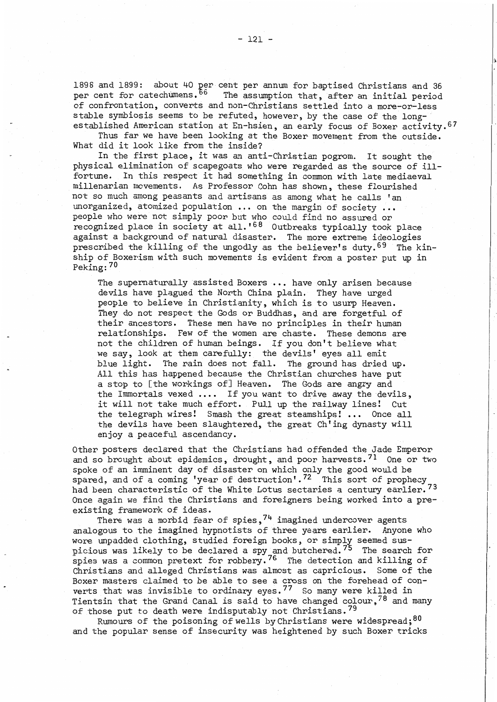1898 and 1899: about 40 per cent per annum for baptised Christians and 36 per cent for catechumens.  $66$  The assumption that, after an initial period of confrontation, converts and non-Christians settled into a more-or-less stable symbiosis seems to be refuted, however, by the case of the longestablished American station at En-hsien, an early focus of Boxer activity.67

Thus far we have been looking at the Boxer movement from the outside. What did it look like from the inside?

In the first place, it was an anti-Christian pogrom. It sought the physical elimination of scapegoats who were regarded as the source of illfortune. In this respect it had something in common with late mediaeval millenarian movements. As Professor Cohn has shown, these flourished not so much among peasants and artisans as among what he calls 'an unorganized, atomized population ... on the margin of society ... people who were not simply poor but who could find no assured or recognized place in society at all.<sup>168</sup> Outbreaks typically took place against a background of natural disaster. The more extreme ideologies prescribed the killing of the ungodly as the believer's duty.  $69$  The kinship of Boxerism with such movements is evident from a poster put up in Peking: 70

The supernaturally assisted Boxers **•••** have only arisen because devils have plagued the North China plain. They have urged people to believe in Christianity, which is to usurp Heaven. They do not respect the Gods or Buddhas, and are forgetful of their ancestors. These men have no principles in their human relationships. Few of the women are chaste. These demons are not the children of human beings. If you don't believe what we say, look at them carefully: the devils' eyes all emit blue light. The rain does not fall. The ground has dried up. All this has happened because the Christian churches have put a stop to [the workings of] Heaven. The Gods are angry and the Immortals vexed .... If you want to drive away the devils, it will not take much effort. Pull up the railway lines! Cut the telegraph wires! Smash the great steamships! **•••** Once all the devils have been Slaughtered, the great Ch'ing dynasty will enjoy a peaceful ascendancy.

Other posters declared that the Christians had offended the Jade Emperor and so brought about epidemics, drought, and poor harvests.<sup>71</sup> One or two spoke of an imminent day of disaster on which only the good would be spared, and of a coming 'year of destruction'.<sup>72</sup> This sort of prophecy had been characteristic of the White Lotus sectaries a century earlier.<sup>73</sup> Once again we find the Christians and foreigners being worked into a preexisting framework of ideas.

There was a morbid fear of spies,  $74$  imagined undercover agents analogous to the imagined hypnotists of three years earlier. Anyone who wore unpadded clothing, studied foreign books, or simply seemed suspicious was likely to be declared a spy and butchered. 75 The search for spies was a common pretext for robbery.<sup>76</sup> The detection and killing of Christians and alleged Christians was almost as capricious. Some of the Boxer masters claimed to be able to see a cross on the forehead of converts that was invisible to ordinary eyes.<sup>77</sup> So many were killed in Tientsin that the Grand Canal is said to have changed colour,  $78$  and many of those put to death were indisputably not Christians.<sup>79</sup>

Rumours of the poisoning of wells by Christians were widespread;  $80$ and the popular sense of insecurity was heightened by such Boxer tricks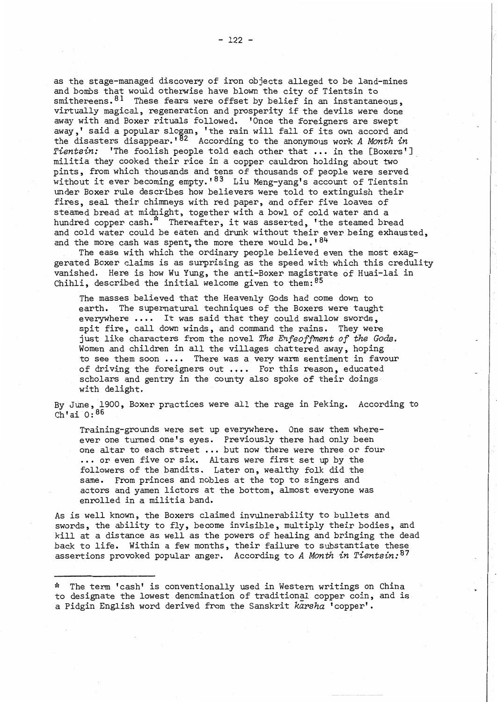as the stage-managed discovery of iron objects alleged to be land-mines and bombs that would otherwise have blown the city of Tientsin to smithereens.  $81$  These fears were offset by belief in an instantaneous, virtually magical, regeneration and prosperity if the devils were done away with and Boxer rituals followed. 'Once the foreigners are swept away,' said a popular slogan, 'the rain will fall of its own accord and the disasters disappear.' 82 According to the anonymous work *A Month in Tientsin:* 'The foolish people told each other that •.• in the [Boxers' ] militia they cooked their rice in a copper cauldron holding about two ' pints, from which thousands and tens of thousands of people were served pints, from which thousands and tens of thousands of people were served<br>without it ever becoming empty.<sup>183</sup> Liu Meng-yang's account of Tientsin under Boxer rule describes how believers were told to extinguish their fires, seal their chimneys with red paper, and offer five loaves of steamed bread at midnight, together with a bowl of cold water and a hundred copper cash.\* Thereafter, it was asserted, 'the steamed bread and cold water could be eaten and drunk without their ever being exhausted, and the more cash was spent, the more there would be.<sup>184</sup>

The ease with which the ordinary people believed even the most exaggerated Boxer claims is as surprising as the speed with which this credulity vanished. Here is how Wu Yung, the anti-Boxer magistrate 6f Huai-lai in Chihli, described the initial welcome given to them: <sup>85</sup>

The masses believed that the Heavenly Gods had come down to earth. The supernatural techniques of the Boxers were taught everywhere .... It was said that they could swallow swords, spit fire, call down winds, and command the rains. They were just like characters from the novel *The Enfeoffment of the Gods.*  Women and children in all the villages chattered away, hoping to see them soon •..• There was a very warm sentiment in favour of driving the foreigners out .... For this reason, educated scholars and gentry in the county also spoke of their doings with delight.

By June, 1900, Boxer practices were all the rage in Peking. According to Ch'ai 0: 86

Training-grounds were set up everywhere. One saw them whereever one turned one's eyes. Previously there had only been one altar to each street ... but now there were three or four ... or even five or six. Altars were first set up by the followers of the bandits. Later on, wealthy folk did the same. From princes and nobles at the top to singers and actors and yamen lictors at the bottom, almost everyone was enrolled in a militia band.

As is well known, the Boxers claimed invulnerability to bullets and swords, the ability to fly, become invisible, multiply their bodies, and kill at a distance as well as the powers of healing and bringing the dead back to life. Within a few months, their failure to substantiate these assertions provoked popular anger. According to *A Month in Tientsin: 87* 

The term 'cash' is conventionally used in Western writings on China to designate the lowest denomination of traditional copper coin, and is a Pidgin English word derived from the Sanskrit *karsha* 'copper'.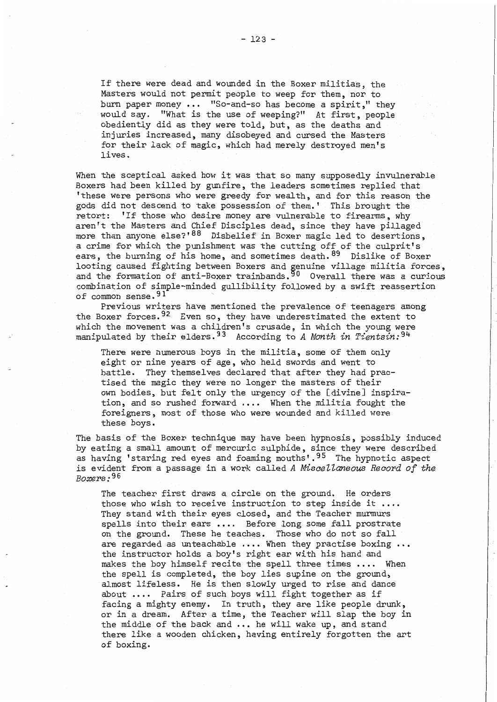If there were dead and wounded in the Boxer militias, the Masters would not permit people to weep for them, nor to burn paper money ... "So-and-so has become a spirit," they would say. "What is the use of weeping?" At first, people obediently did as they were told, but, as the deaths and injuries increased, many disobeyed and cursed the Masters for their lack of magic, which had merely destroyed men's lives.

When the sceptical asked how it was that so many supposedly invulnerable Boxers had been killed by gunfire, the leaders sometimes replied that 'these were persons who were greedy for wealth, and for this reason the gods did not descend to take possession of them.' This brought the retort: 'If those who desire money are vulnerable to firearms, why aren't the Masters and Chief Disciples dead, since they have pillaged more than anyone else?'<sup>88</sup> Disbelief in Boxer magic led to desertions, a crime for which the punishment was the cutting off of the culprit's ears, the burning of his home, and sometimes death. 89 Dislike of Boxer looting caused fighting between Boxers and genuine village militia forces, and the formation of anti-Boxer trainbands.  $90$  Overall there was a curious combination of simple-minded gullibility followed by a swift reassertion of common sense.<sup>91</sup>

Previous writers have mentioned the prevalence of teenagers among the Boxer forces.  $92$  Even so, they have underestimated the extent to which the movement was a children's crusade, in which the young were manipulated by their elders. 93 According to *A Month in Tientsin:* <sup>94</sup>

There were numerous boys in the militia, some of them only eight or nine years of age, who held swords and went to battle. They themselves declared that after they had practised the magic they were no longer the masters of their own bodies, but felt only the urgency of the [divine] inspiration, and so rushed forward ••.. When the militia fought the foreigners, most of those who were wounded and killed were these boys.

The basis of the Boxer technique may have been hypnosis, possibly induced by eating a small amount of mercuric sulphide, since they were described as having 'staring red eyes and foaming mouths' .95 The hypnotic aspect is evident from a passage in a work called A *Miscellaneous Record of the Boxers:* 96

The teacher first draws a circle on the ground. He orders those who wish to receive instruction to step inside it .... They stand with their eyes closed, and the Teacher murmurs spells into their ears .... Before long some fall prostrate on the ground. These he teaches. Those who do not so fall are regarded as unteachable **••••** When they practise boxing **•••**  the instructor holds a boy's right ear with his hand and makes the boy himself recite the spell three times **•••.** When the spell is completed, the boy lies supine on the ground, almost lifeless. He is then slowly urged to rise and dance about .... Pairs of such boys will fight together as if facing a mighty enemy. In truth, they are like people drunk, or in a dream. After a time, the Teacher will slap the boy in the middle of the back and •.• he will wake up, and stand there like a wooden chicken, having entirely forgotten the art of boxing.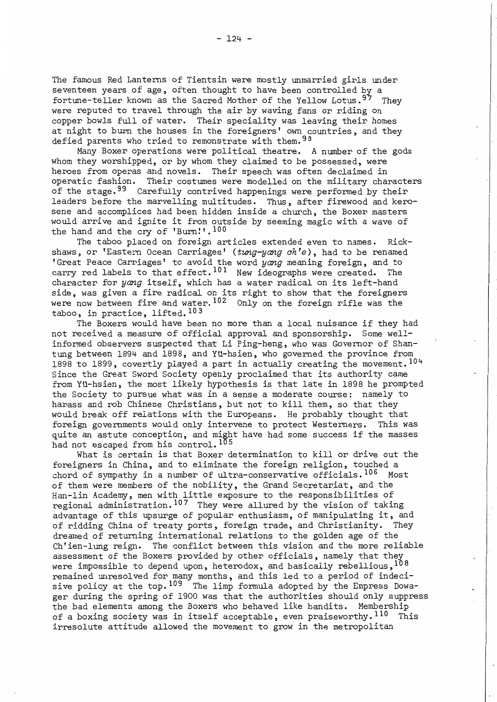were reputed to travel through the air by waving fans or riding on copper bowls full of water. Their speciality was leaving their homes at night to burn the houses in the foreigners' own countries, and they defied parents who tried to remonstrate with them. 98

Many Boxer operations were political theatre. A number of the gods whom they worshipped, or by whom they claimed to be possessed, were heroes from operas and novels. Their speech was often declaimed in operatic fashion. Their costumes were modelled on the military characters of the stage. 99 Carefully contrived happenings were performed by their leaders before the marvelling multitudes. Thus, after firewood and kerosene and accomplices had been hidden inside a church, the Boxer masters would arrive and ignite it from outside by seeming magic with a wave of the hand and the cry of 'Burn!'.  $^{100}$ 

The taboo placed on foreign articles extended even to names. Rickshaws, or 'Eastern Ocean Carriages' *(tung-yang ah'e),* had to be renamed 'Great Peace Carriages' to avoid the word *yang* meaning foreign, and to carry red labels to that effect. 101 New ideographs were created. The character for *yang* itself, which has a water radical on its left-hand side, was given a fire radical on its right to show that the foreigners were now between fire and water. 102 Only on the foreign rifle was the taboo, in practice, lifted. 103

The Boxers would have been no more than a local nuisance if they had not received a measure of official approval and sponsorship. Some wellinformed observers suspected that Li Ping-heng, who was Governor of Shantung between 1894 and 1898, and YU-hsien, who governed the province from 1898 to 1899, covertly played a part in actually creating the movement. 104 Since the Great Sword Society openly proclaimed that its authority came from YU-hsien, the most likely hypothesis is that late in 1898 he prompted the Society to pursue what was in a sense a moderate course: namely to harass and rob Chinese Christians, but not to kill them, so that they would break off relations with the Europeans. He probably thought that foreign governments would only intervene to protect Westerners. This was quite an astute conception, and might have had some success if the masses had not escaped from his control. 105

What is certain is that Boxer determination to kill or drive out the foreigners in China, and to eliminate the foreign religion, touched a chord of sympathy in a number of ultra-conservative officials. 106 Most of them were members of the nobility, the Grand Secretariat, and the Han-lin Academy, men with little exposure to the responsibilities of regional administration. 107 They were allured by the vision of taking advantage of this upsurge of popular enthusiasm, of manipulating it, and<br>of ridding China of treaty ports. foreign trade, and Christianity. They of ridding China of treaty ports, foreign trade, and Christianity. dreamed of returning international relations to the golden age of the Ch'ien-lung reign. The conflict between this vision and the more reliable assessment of the Boxers provided by other officials, namely that they were impossible to depend upon, heterodox, and basically rebellious, 108 remained unresolved for many months, and this led to a period of indecisive policy at the top.  $109$  The limp formula adopted by the Empress Dowager during the spring of 1900 was that the authorities should only suppress the bad elements among the Boxers who behaved like bandits. Membership of a boxing society was in itself acceptable, even praiseworthy. 110 This irresolute attitude allowed the movement to grow in the metropolitan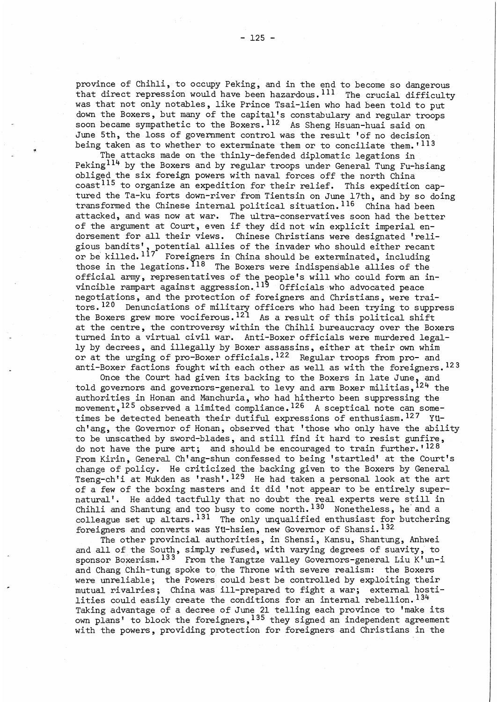province of Chihli, to occupy Peking, and in the end to become so dangerous that direct repression would have been hazardous. <sup>111</sup> The crucial difficulty was that not only notables, like Prince Tsai-lien who had been told to put down the Boxers, but many of the capital's constabulary and regular troops soon became sympathetic to the Boxers. 112 As Sheng Hsuan-huai said on June 5th, the loss of government control was the result 'of no decision being taken as to whether to exterminate them or to conciliate them.<sup>1113</sup>

The attacks made on the thinly-defended diplomatic legations in Peking<sup>114</sup> by the Boxers and by regular troops under General Tung Fu-hsiang obliged the six foreign powers with naval forces off the north China coast<sup>115</sup> to organize an expedition for their relief. This expedition captured the Ta-ku forts down-river from Tientsin on June 17th, and by so doing transformed the Chinese internal political situation. 116 China had been attacked, and was now at war. The ultra-conservatives soon had the better of the argument at Court, even if they did not win explicit imperial endorsement for all their views. Chinese Christians were designated 'religious bandits', potential allies of the invader who should either recant or be killed.  $^{117}$  Foreigners in China should be exterminated, including those in the legations.  $^{118}$  The Boxers were indispensable allies of the official army, representatives of the people's will who could form an invincible rampart against aggression. $^{119}$  Officials who advocated peace negotiations, and the protection of foreigners and Christians, were traitors. 120 Denunciations of military officers who had been trying to suppress the Boxers grew more vociferous.<sup>121</sup> As a result of this political shift at the centre, the controversy within the Chihli bureaucracy over the Boxers turned into a virtual civil war. Anti~Boxer officials were murdered legally by decrees, and illegally by Boxer assassins, either at their own whim or at the urging of pro-Boxer officials. <sup>122</sup> Regular troops from pro- and anti-Boxer factions fought with each other as well as with the foreigners. 123

Once the Court had given its backing to the Boxers in late June, and told governors and governors-general to levy and arm Boxer militias, <sup>124</sup> the authorities in Honan and Manchuria, who had hitherto been suppressing the movement,  $125$  observed a limited compliance.  $126$  A sceptical note can sometimes be detected beneath their dutiful expressions of enthusiasm. <sup>127</sup> Yuch'ang, the Governor of Honan, observed that 'those who only have the ability to be unscathed by sword-blades, and still find it hard to resist gunfire, do not have the pure art; and should be encouraged to train further.  $128$ From Kirin, General Ch'ang-shun confessed to being 'startled' at the Court's change of policy. He criticized the backing given to the Boxers by General Tseng-ch'i at Mukden as 'rash'.<sup>129</sup> He had taken a personal look at the art of a few of the boxing masters and it did 'not appear to be entirely supernatural'. He added tactfully that no doubt the real experts were still in Chihli and Shantung and too busy to come north.  $130$  Nonetheless, he and a colleague set up altars. 131 The only unqualified enthusiast for butchering foreigners and converts was Yu-hsien, new Governor of Shansi. 132

The other provincial authorities, in Shensi, Kansu, Shantung, Anhwei and all of the South, simply refused, with varying degrees of suavity, to sponsor Boxerism. 133 From the Yangtze valley Governors-general Liu K'un-i and Chang Chih-tung spoke to the Throne with severe realism: the Boxers were unreliable; the Powers could best be controlled by exploiting their mutual rivalries; China was ill-prepared to fight a war; external hostilities could easily create the conditions for an internal rebellion. 134 Taking advantage of a decree of June 21 telling each province to 'make its own plans' to block the foreigners,<sup>135</sup> they signed an independent agreement with the powers, providing protection for foreigners and Christians in the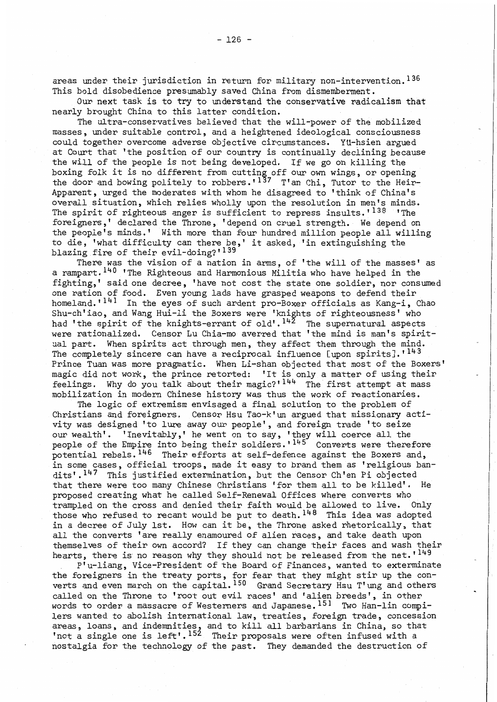areas under their jurisdiction in return for military non-intervention.  $136$ This bold disobedience presumably saved China from dismemberment.

Our next task is to try to understand the conservative radicalism that nearly brought China to this latter condition.

The ultra-conservatives believed that the will-power of the mobilized masses, under suitable control, and a heightened ideological consciousness could together overcome adverse objective circumstances. YU-hsien argued at Court that 'the position of our country is continually declining because the will of the people is not being developed. If we go on killing the boxing folk it is no different from cutting off our own wings, or opening the door and bowing politely to robbers.'<sup>137</sup> T'an Chi, Tutor to the Heir-Apparent, urged the moderates with whom he disagreed to 'think of China's overall situation, which relies wholly upon the resolution in men's minds. The spirit of righteous anger is sufficient to repress insults.'<sup>138</sup> 'The foreigners,' declared the Throne, 'depend on cruel strength. We depend on the people's minds.' With more than four hundred million people all willing to die, 'what difficulty can there be,' it asked, 'in extinguishing the blazing fire of their evil-doing?'<sup>139</sup>

There was the vision of a nation in arms, of 'the will of the masses' as a rampart.<sup>140</sup> 'The Righteous and Harmonious Militia who have helped in the fighting,' said one decree, 'have not cost the state one soldier, nor consumed one ration of food. Even young lads have grasped weapons to defend their homeland.<sup>'141</sup> In the eyes of such ardent pro-Boxer officials as Kang-i, Chao Shu-ch'iao, and Wang Hui-li the Boxers were 'knights of righteousness' who had 'the spirit of the knights-errant of  $old'.142$  The supernatural aspects were rationalized. Censor Lu Chia-mo averred that 'the mind is man's spiritual part. When spirits act through men, they affect them through the mind. The completely sincere can have a reciprocal influence [upon spirits].'<sup>143</sup> Prince Tuan was more pragmatic. When Li-shan objected that most of the Boxers' magic did not work, the prince retorted: 'It is only a matter of using their feelings. Why do you talk about their magic? $1^{144}$  The first attempt at mass mobilization in modern Chinese history was thus the work of reactionaries.

The logic of extremism envisaged a final solution to the problem of Christians and foreigners. Censor Hsu Tao-k'un argued that missionary activity was designed 'to lure away our people', and foreign trade 'to seize our wealth'. 'Inevitably,' he went on to say, 'they will coerce all the people of the Empire into being their soldiers.  $1^{14.5}$  Converts were therefore potential rebels. 146 Their efforts at self-defence against the Boxers and, in some cases, official troops, made it easy to brand them as 'religious bandits'.<sup>147</sup> This justified extermination, but the Censor Ch'en Pi objected that there were too many Chinese Christians 'for them all to be killed'. He proposed creating what he called Self-Renewal Offices where converts who trampled on the cross and denied their faith would be allowed to live. Only those who refused to recant would be put to death.  $148$  This idea was adopted in a decree of July 1st. How can it be, the Throne asked rhetorically, that all the converts 'are really enamoured of alien races, and take death upon themselves of their own accord? If they can change their faces and wash their hearts, there is no reason why they should not be released from the net.<sup>1149</sup>

P'u-liang, Vice-President of the Board of Finances, wanted to exterminate the foreigners in the treaty ports, for fear that they might stir up the converts and even march on the capital. 150 Grand Secretary Hsu T'ung and others called on the Throne to 'root out evil races' and 'alien breeds', in other words to order a massacre of Westerners and Japanese. 151 Two Han-lin compilers wanted to abolish international law, treaties, foreign trade, concession areas, loans, and indemnities, and to kill all barbarians in China, so that not a single one is left'.<sup>152</sup> Their proposals were often infused with a nostalgia for the technology of the past. They demanded the destruction of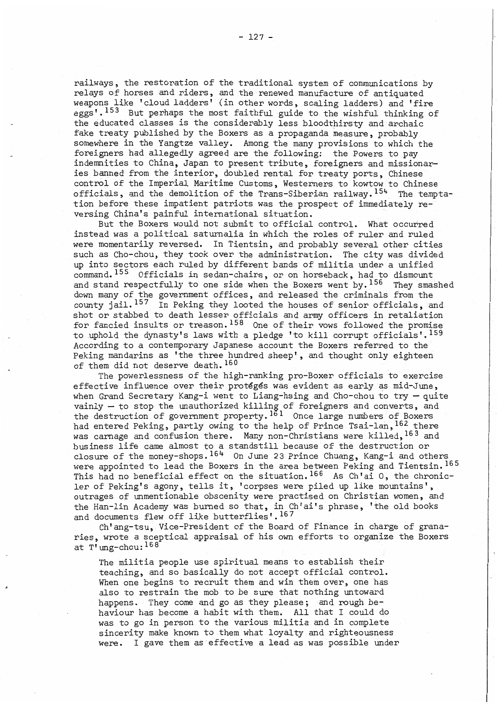railways, the restoration of the traditional system of communications by relays of horses and riders, and the renewed manufacture of antiquated weapons like 'cloud ladders' (in other words, scaling ladders) and 'fire eggs' .153 But perhaps the most faithful guide to the wishful thinking of the educated classes is the considerably less bloodthirsty and archaic fake treaty published by the Boxers as a propaganda measure, probably somewhere in the Yangtze valley. Among the many provisions to which the foreigners had allegedly agreed are the following: the Powers to pay indemnities to China, Japan to present tribute, foreigners and missionaries banned from the interior, doubled rental for treaty ports, Chinese control of the Imperial Maritime Customs, Westerners to kowtow to Chinese officials, and the demolition of the Trans-Siberian railway. <sup>154</sup> The temptation before these impatient patriots was the prospect of immediately reversing China's painful international situation.

But the Boxers would not submit to official control. What occurred instead was a political saturnalia in which the roles of ruler and ruled were momentarily reversed. In Tientsin, and probably several other cities such as Cho-chou, they took over the administration. The city was divided up into sectors each ruled by different bands of militia under a unified command. 155 Officials in sedan-chairs, or on horseback, had to dismount and stand respectfully to one side when the Boxers went by.  $156$  They smashed down many of the government offices, and released the criminals from the county jail.  $157$  In Peking they looted the houses of senior officials, and shot or stabbed to death lesser officials and army officers in retaliation for fancied insults or treason.  $158$  One of their vows followed the promise to.uphold the dynasty's laws with a pledge 'to kill corrupt officials'. 159 According to a contemporary Japanese account the Boxers referred to the Peking mandarins as 'the three hundred sheep', and thought only eighteen of them did not deserve death. 160

The powerlessness of the high-ranking pro-Boxer officials to exercise effective influence over their protégés was evident as early as mid-June, when Grand Secretary Kang-i went to Liang-hsing and Cho-chou to try  $-$  quite vainly  $-$  to stop the unauthorized killing of foreigners and converts, and the destruction of government property. <sup>161</sup> Once large numbers of Boxers had entered Peking, partly owing to the help of Prince Tsai-lan, <sup>162</sup> there was carnage and confusion there. Many non-Christians were killed,  $^{163}$  and business life came almost to a standstill because of the destruction or closure of the money-shops.  $164$  On June 23 Prince Chuang, Kang-i and others were appointed to lead the Boxers in the area between Peking and Tientsin. 165 This had no beneficial effect on the situation.  $166$  As Ch'ai O, the chronicler of Peking's agony, tells it, 'corpses were piled up like mountains', outrages of unment ionable obscenity were practised on Christian women, and the Han-lin Academy was burned so that, in Ch' ai's phrase, 'the old books and documents flew off like butterflies'. 167

Ch'ang-tsu, Vice-President of the Board of Finance in charge of granaries, wrote a sceptical appraisal of his own efforts to organize the Boxers at T'ung-chou: 168

The militia people use spiritual means to establish their teaching, and so basically do not accept official control. When one begins to recruit them and win them over, one has also to restrain the mob to be sure that nothing untoward happens. They come and go as they please; and rough behaviour has become a habit with them. All that I could do was to go in person to the various militia and in complete sincerity make known to them what loyalty and righteousness were. I gave them as effective a lead as was possible under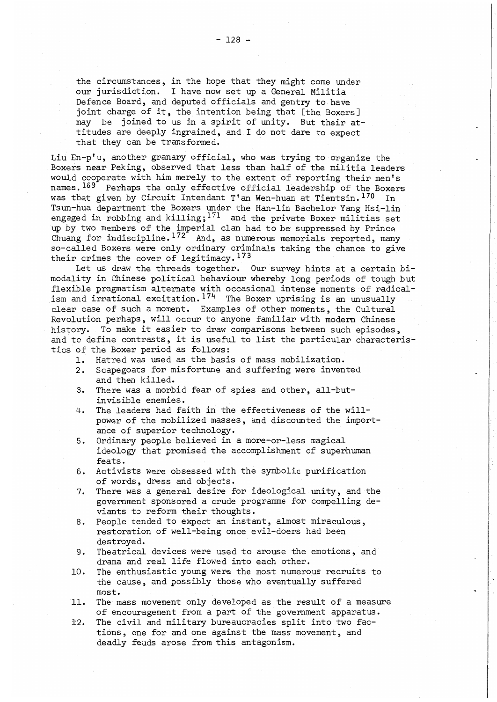the circumstances, in the hope that they might come under our jurisdiction. I have now set up a General Militia Defence Board, and deputed officials and gentry to have joint charge of it, the intention being that [the Boxers] may be joined to us in a spirit of unity. But their attitudes are deeply ingrained, and I do not dare to expect that they can be transformed.

Liu En-p'u, another granary official, who was trying to organize the Boxers near Peking, observed that less than half of the militia leaders would cooperate with him merely to the extent of reporting their men's names. <sup>169</sup> Perhaps the only effective official leadership of the Boxers was that given by Circuit Intendant T'an Wen-huan at Tientsin. 170 In Tsun-hua department the Boxers under the Han-lin Bachelor Yang Hsi-lin engaged in robbing and killing;<sup>171</sup> and the private Boxer militias set up by two members of the imperial clan had to be suppressed by Prince Chuang for indiscipline. 172 And, as numerous memorials reported, many so-called Boxers were only ordinary criminals taking the chance to give their crimes the cover of legitimacy. 173

Let us draw the threads together. Our survey hints at a certain **bi**modality in Chinese political behaviour whereby long periods of tough but flexible pragmatism alternate with occasional intense moments of radicalism and irrational excitation.<sup>174</sup> The Boxer uprising is an unusually clear case of such a moment. Examples of other moments, the Cultural Revolution perhaps, will occur to anyone familiar with modern Chinese history. To make it easier to draw comparisons between such episodes, and to define contrasts, it is useful to list the particular characteristics of the Boxer period as follows:

- 1. Hatred was used as the basis of mass mobilization.
- 2. Scapegoats for misfortune and suffering were invented and then killed.
- 3. There was a morbid fear of spies and other, all-butinvisible enemies.
- 4. The leaders had faith in the effectiveness of the willpower of the mobilized masses, and discounted the importance of superior technology.
- 5. Ordinary people believed in a more-or-less magical ideology that promised the accomplishment of superhuman feats.
- 6. Activists were obsessed with the symbolic purification of words, dress and objects.
- 7. There was a general desire for ideological unity, and the government sponsored a crude programme for compelling deviants to reform their thoughts.
- 8. People tended to expect an instant, almost miraculous, restoration of well-being once evil-doers had been destroyed.
- 9. Theatrical devices were used to arouse the emotions, and drama and real life flowed into each other.
- 10. The enthusiastic young were the most numerous recruits to the cause, and possibly those who eventually suffered most.
- 11. The mass movement only developed as the result of a measure of encouragement from a part of the government apparatus.
- 12. The civil and military bureaucracies split into two factions, one for and one against the mass movement, and deadly feuds arose from this antagonism.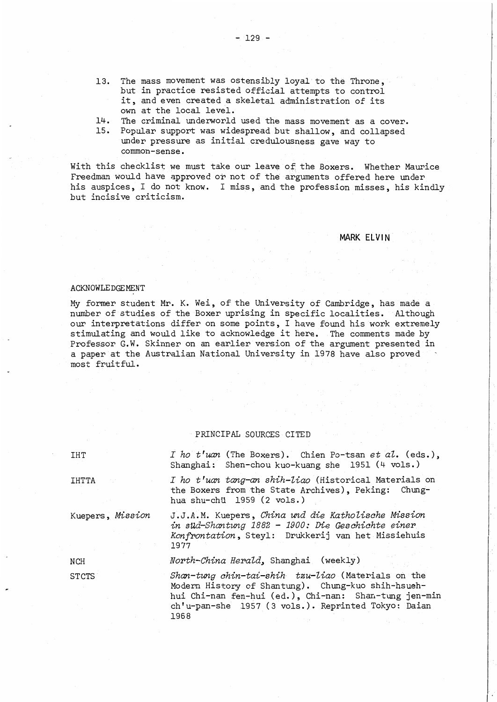- 13. The mass movement was ostensibly loyal to the Throne. but in practice resisted official attempts to control it, and even created a skeletal administration of its own at the local level.
- 14. The criminal underworld used the mass movement as a cover.<br>15. Popular support was widespread but shallow, and collapsed
- Popular support was widespread but shallow, and collapsed under pressure as initial credulousness gave way to common-sense.

With this checklist we must take our leave of the Boxers. Whether Maurice Freedman would have approved or not of the arguments offered here under his auspices, I do not know. I miss, and the profession misses, his kindly but incisive criticism.

**MARK ELVIN.** 

## ACKNOWLE DGE MENT

My former student Mr. K. Wei, of the University of Cambridge, has made a number of studies of the Boxer uprising in specific localities. Although our interpretations differ on some points, I have found his work extremely stimulating and would like to acknowledge it here. The comments made by Professor G.W. Skinner on an earlier version of the argument presented in a paper at the Australian National University in 1978 have also proved most fruit ful.

## PRINCIPAL SOURCES CITED

| <b>IHT</b>              | I ho t'uan (The Boxers). Chien Po-tsan et al. (eds.),<br>Shanghai: Shen-chou kuo-kuang she 1951 (4 vols.)                                                                                                                |
|-------------------------|--------------------------------------------------------------------------------------------------------------------------------------------------------------------------------------------------------------------------|
| <b>IHTTA</b>            | I ho t'uan tang-an shih-liao (Historical Materials on<br>the Boxers from the State Archives), Peking: Chung-<br>hua shu-chü 1959 (2 vols.)                                                                               |
| Kuepers, <i>Mission</i> | J.J.A.M. Kuepers, China und die Katholische Mission<br>in sud-Shantung 1882 - 1900: Die Geschichte einer<br>Konfrontation, Steyl: Drukkerij van het Missiehuis<br>1977                                                   |
| NCH                     | North-China Herald, Shanghai (weekly)                                                                                                                                                                                    |
| STCTS                   | Shan-tung chin-tai-shih tzu-liao (Materials on the<br>Modern History of Shantung). Chung-kuo shih-hsueh-<br>hui Chi-nan fen-hui (ed.), Chi-nan: Shan-tung jen-min<br>ch'u-pan-she 1957 (3 vols.). Reprinted Tokyo: Daian |

1968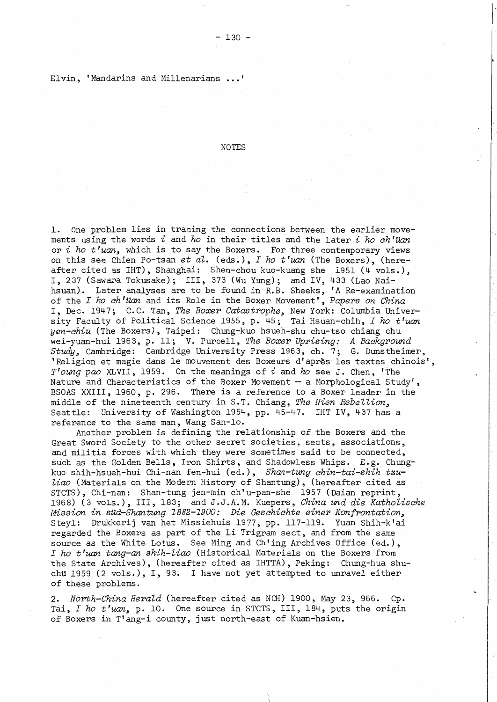Elvin, 'Mandarins and Millenarians ...'

## NOTES

1. One problem lies in tracing the connections between the earlier movements using the words *i* and *ho* in their titles and the later *i ho ch'uan*  or *i ho t'uan,* which is to say the Boxers. For three contemporary views on this see Chien Po-tsan *et al.* (eds.), *I ho t'uan* (The Boxers), (hereafter cited as IHT), Shanghai: Shen-chou kuo-kuang she 1951 (4 vols.), 1,237 (Sawara Tokusake); 111,373 (Wu Yung); and IV, 433 (Lao Naihsuan). Later analyses are to be found in R.B. Sheeks, 'A Re-examination of the I *ho ch 'Uan* and its Role in the Boxer Movement' , *Papers on China*  I, Dec. 1947; C.C. Tan, *The Boxer Catastrophe,* New York: Columbia University Faculty of Political Science 1955, p. 45; Tai Hsuan-chih, I *ho t'uan yen-chiu* (The Boxers), Taipei: Chung-kuo hsueh-shu chu-tso chiang chu wei-yuan-hui 1963, p. 11; V. Purcell, *The Boxer uprising: A Background Study,* Cambridge: Cambridge University Press 1963, ch. 7; G. Dunstheimer, 'Religion et magie dans le mouvement des Boxeurs d'apres les textes chinois', *T'oung pao* XLVII, 1959. On the meanings of *i* and *ha* see J. Chen, 'The Nature and Characteristics of the Boxer Movement  $-$  a Morphological Study', BSOAS XXIII, 1960, p. 296. There is a reference to a Boxer leader in the middle of the nineteenth century in S.T. Chiang, *The Nien Rebellion,*  Seattle: University of Washington 1954, pp. 45-47. IHT IV, 437 has a reference to the same man, Wang San-lo.

Another problem is defining the relationship of the Boxers and the Great Sword Society to the other secret societies, sects, associations, and militia forces with which they were sometimes said to be connected, such as the Golden Bells, Iron Shirts, and Shadowless Whips. E.g. Chungkuo shih-hsueh-hui Chi-nan fen-hui (ed.), *Shan-tung chin-tai-shih tzuliao* (Materials on the Modern History of Shantung), (hereafter cited as STCTS), Chi-nan: Shan-tung jen-min ch'u-pan-she 1957 (Daian reprint, 1968) (3 vols.), III, 183; and J.J.A.M. Kuepers, *China und die Katholische Mission in sud-Shantung* 1882-1900: *Die Geschichte einer Konfrontation,*  Steyl: Drukkerij van het Missiehuis 1977, pp. 117-119. Yuan Shih-k'ai regarded the Boxers as part of the Li Trigram sect, and from the same source as the White Lotus. See Ming and Ch'ing Archives Office (ed.), I *ho t'uan tang-an shih-liao* (Historical Materials on the Boxers from the State Archives), (hereafter cited as IHTTA), Peking: Chung-hua shuchü 1959 (2 vols.), I, 93. I have not yet attempted to unravel either of these problems.

*2. North-China Herald* (hereafter cited as NCH) 1900, May 23, 966. Cp. Tai, I *ho t'uan,* p. 10. One source in STCTS, Ill, 184, puts the origin of Boxers in T'ang-i county, just north-east of Kuan-hsien.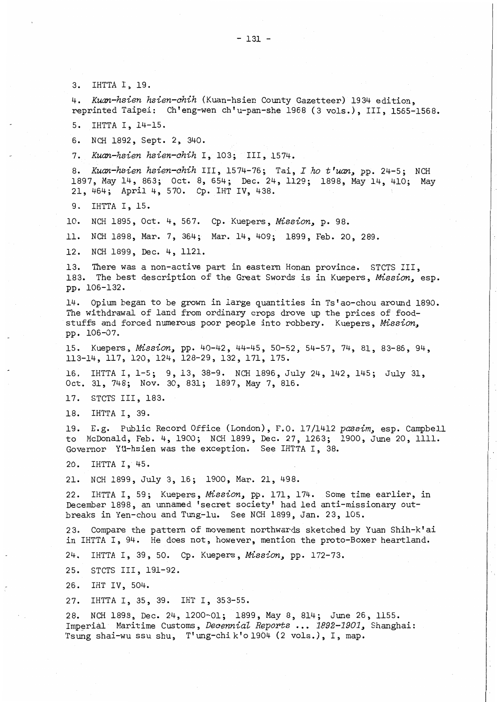3. IHTTA I, 19.

*4. Kuan-hsien hsien-chih* (Kuan-hsien County Gazetteer) 1934 edition, reprinted Taipei: Ch'eng-wen ch'u-pan-she 1968 (3 vols.), Ill, 1565-1568.

5. IHTTA I, 14-15.

6. NCH 1892, Sept. 2, 340.

*7. Kuan-hsien hsien-chih* I, 103; Ill, 1574.

8. *Kuan-hsien hsien-chih* III, 1574-76; Tai, *I ho t'uan*, pp. 24-5; NCH 1897, May 14, 863; Oct. 8, 654; Dec. 24, 1129; 1B98, May 14, 410; May 21, 464; April 4, 570. Cp. IHT IV, 438.

9. IHTTA I, 15.

10. NCH 1895, Oct. 4, 567. Cp. Kuepers, Mission, p. 98.

11. NCH IB9B, Mar. 7, 364; Mar. 14, 409; 1899, Feb. 20, 2B9.

12. NCH 1899, Dec. 4, 1121.

13. There was a non-active part in eastern Honan province. STCTS Ill, 183. The best description of the Great Swords is in Kuepers, Mission, esp. pp. 106-132.

14. Opium began to be grown in large quantities in Ts'ao-chou around 1890. The withdrawal of land from ordinary crops drove up the prices of foodstuffs and forced numerous poor people into robbery. Kuepers, Mission, pp. 106-07.

15. Kuepers, *Mission*, pp. 40-42, 44-45, 50-52, 54-57, 74, 81, 83-86, 94, 113-14, 117, 120, 124, 128-29, 132, 171, 175.

16. IHTTA I, 1-5; 9,13, 38-9. NCH 1896, July 24, 142, 145; July 31, Oct. 31, 748; Nov. 30, 831; 1897, May 7, 816.

17. STCTS Ill, 183.

lB. IHTTA I, 39.

19. E.g. Public Record Office (London), F.O. 17/1412 passim, esp. Campbell to McDonald, Feb. 4, 1900; NCH IB99, Dec. 27, 1263; 1900, June 20, 1111. Governor YU-hsien was the exception. See IHTTA I, 3B.

20. IHTTA I, 45.

21. NCH 1899, July 3,16; 1900, Mar. 21,498.

22. IHTTA I, 59; Kuepers, Mission, pp. 171, 174. Some time earlier, in December 189B, an unnamed 'secret society' had led anti-missionary outbreaks in Yen-chou and Tung-lu. See NCH 1899, Jan. 23, 105.

23. Compare the pattern of movement northwards sketched by Yuan Shih-k'ai in IHTTA I, 94. He does not, however, mention the proto-Boxer heartland.

24. IHTTA I, 39, 50. Cp. Kuepers, *Mission,* pp. 172-73.

25. STCTS Ill, 191-92.

26. IHT IV, 504.

27. IHTTA 1,35,39. IHT 1,353-55.

2B. NCH 189B, Dec. 24, 1200-01; 1899, May B, B14; June 26, 1155. Imperial Maritime Customs, *Decennial Reports* ... 1892-1901, Shanghai: Tsung shai-wu ssu shu, T' ung- chik'o1904 (2 vols.), I, map.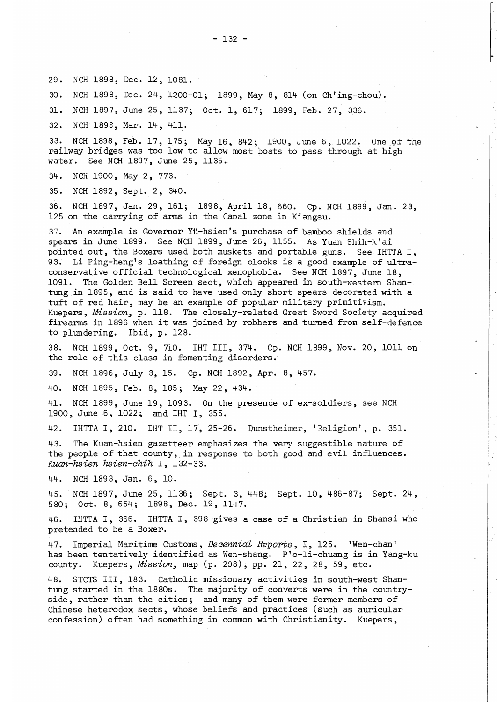29. NCH 1898, Dec. 12, 1081.

30. NCH 1898, Dec. 24, 1200-01 ; 1899, May 8, 814 (on Ch'ing-chou).

31. NCH 1897, June 25, 1137; Oct. 1, 617; 1899, Feb. 27, 336.

32. NCH 1898, Mar. 14, 411.

33. NCH 1898, Feb. 17, 175; May 16, 842; 1900, June 6, 1022. One of the railway bridges was too low to allow most boats to pass through at high water. See NCH 1897, June 25, 1135.

34. NCH 1900, May 2, 773.

35. NCH 1892, Sept. 2, 340.

36. NCH 1897, Jan. 29, 161; 1898, April 18, 660. Cp. NCH 1899, Jan. 23, 125 on the carrying of arms in the Canal zone in Kiangsu.

37. An example is Governor YU-hsien's purchase of bamboo shields and spears in June 1899. See NCH 1899, June 26, 1155. As Yuan Shih-k'ai pointed out, the Boxers used both muskets and portable guns. See IHTTA I, 93. Li Ping-heng's loathing of foreign clocks is a good example of ultraconservative official technological xenophobia. See NCH 1897, June 18, 1091. The Golden Bell Screen sect, which appeared in south-western Shantung in 1895, and is said to have used only short spears decorated with a tuft of red hair, may be an example of popular military primitivism. Kuepers, Mission, p. 118. The closely-related Great Sword Society acquired firearms in 1896 when it was joined by robbers and turned from self-defence to plundering. Ibid, p. 128.

38. NCH 1899, Oct. 9, 710. IHT Ill, 374. Cp. NCH 1899, Nov. 20, 1011 on the role of this class in fomenting disorders.

39. NCH 1896, July 3,15. Cp. NCH 1892, Apr. 8,457.

40. NCH 1895, Feb. 8, 185; May 22, 434.

41. NCH 1899, June 19, 1093. On the presence of ex-soldiers, see NCH 1900, June 6, 1022; and IHT I, 355.

42. IHTTA I, 210. IHT II, 17, 25-26. Dunstheimer, 'Religion', p. 351.

43. The Kuan-hsien gazetteer emphasizes the very suggestible nature of the people of that county, in response to both good and evil influences. *Kuan-hsien hsien-chih* I, 132-33.

44. NCH 1893, Jan. 6, 10.

45. NCH 1897, June 25, 1136; Sept. 3, 448; Sept. 10, 486-87; Sept. 24, 580; Oct. 8, 654; 1898, Dec. 19, 1147.

46. IHTTA 1,366. IHTTA I, 398 gives a case of a Christian in Shansi who pretended to be a Boxer.

47. Imperial Maritime Customs, *DecenniaZ Reports,* I, 125. 'Wen-chan' has been tentatively identified as Wen-shang. P'o-li-chuang is in Yang-ku county. Kuepers, *Mission*, map (p. 208), pp. 21, 22, 28, 59, etc.

48. STCTS III, 183. Catholic missionary activities in south-west Shantung started in the 1880s. The majority of converts were in the countryside, rather than the cities; and many of them were former members of Chinese heterodox sects, whose beliefs and practices (such as auricular confession) often had something in common with Christianity. Kuepers,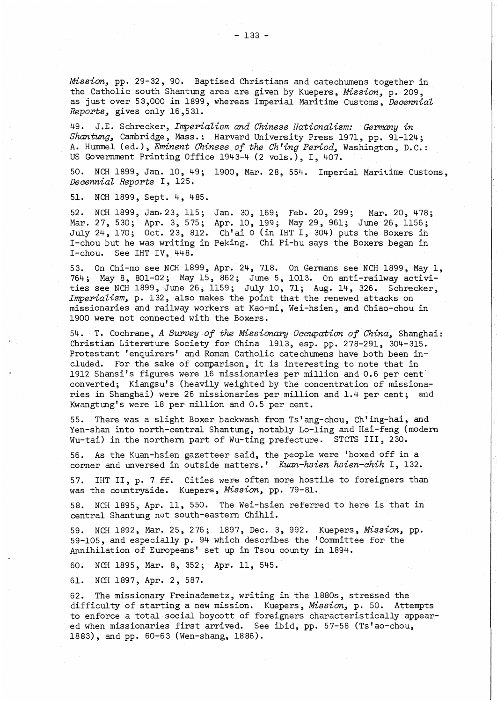*Mission,* pp. 29-32, 90. Baptised Christians and catechumens together in the Catholic south Shantung area are given by Kuepers, *Mission,* p. 209, as just over 53,000 in 1899, whereas Imperial Maritime Customs, *DecenniaZ Reports,* gives only 16,531.

49. J.E. Schrecker, *Imperialism and Chinese Nationalism: Germany in Shantung,* Cambridge, Mass.: Harvard University Press 1971, pp. 91-124; A. Hummel (ed.), *Eminent Chinese of the Ch'ing Period,* Washington, D. C. : US Government Printing Office 1943-4 (2 vols.), I, 407.

50. NCH 1899, Jan. 10, 49; 1900, Mar. 28, 554. Imperial Maritime Customs, *DecenniaZ Reports* I, 125.

51. NCH 1899, Sept. 4, 485.

52. NCH 1899, Jan. 23, 115; Mar. 27, 530; Apr. 3, 575; July 24, 170; Oct. 23, 812. Ch'ai 0 (in IHT I, 304) puts the Boxers in I-chou but he was writing in Peking. Chi Pi-hu says the Boxers began in I-chou. See IHT IV, 448. Jan. 30, 169; Feb. 20, 299; Mar. 20, 478; Apr. 10, 199; May 29, 961; June 26, 1156;

53. On Chi-mo see NCH 1899, Apr. 24, 718. On Germans see NCH 1899, May 1, 764; May 8, 801-02; May 15, 862; June 5, 1013. On anti-railway activities see NCH 1899, June 26, 1159; July 10, 71; Aug. 14, 326. Schrecker, *Imperialism,* p. 132, also makes the point that the renewed attacks on missionaries and railway workers at Kao-mi, Wei-hsien, and Chiao-chou in 1900 were not connected with the Boxers.

54. T. Cochrane, *A Survey of the Missionary Occupation of China,* Shanghai: Christian Literature Society for China 1913, esp. pp. 278-291, 304-315. Protestant 'enquirers' and Roman Catholic catechumens have both been included. For the sake of comparison, it is interesting to note that in 1912 Shansi's figures were 16 missionaries per million and 0.6 per cent<sup>1</sup> converted; Kiangsu's (heavily weighted by the concentration of missiona~ ries in Shanghai) were 26 missionaries per million and 1.4 per cent; and Kwangtung's were 18 per million and 0.5 per cent.

55. There was a slight Boxer backwash from Ts' ang-chou, Ch'ing-hai, and Yen-shan into north-central Shantung, notably Lo-ling and Hai-feng (modern Wu-tai) in the northern part of Wu-ting prefecture. STCTS Ill, 230.

56. As the Kuan-hsien gazetteer said, the people were 'boxed off in a corner and unversed in outside matters.' *Kuan-hsien hsien-chih* I, 132.

57. IHT II, p. 7 ff. Cities were often more hostile to foreigners than was the countryside. Kuepers, *Mission,* pp. 79-81.

58. NCH 1895, Apr. 11, 550. The Wei-hsien referred to here is that in central Shantung not south-eastern Chihli.

59. NCH 1892, Mar. 25, 276; 1897, Dec. 3, 992. Kuepers, *Mission,* pp. 59-105, and especially p. 94 which describes the 'Committee for the Annihilation of Europeans' set up in Tsou county in 1894.

60. NCH 1895, Mar. 8, 352; Apr. 11, 545.

61. NCH 1897, Apr. 2, 587.

62. The missionary Freinademetz, writing in the 1880s, stressed the difficulty of starting a new mission. Kuepers, *Mission,* p. 50. Attempts to enforce a total social boycott of foreigners characteristically appeared when missionaries first arrived. See ibid, pp. 57-58 (Ts'ao-chou, 1883), and pp. 60-63 (Wen-shang, 1886).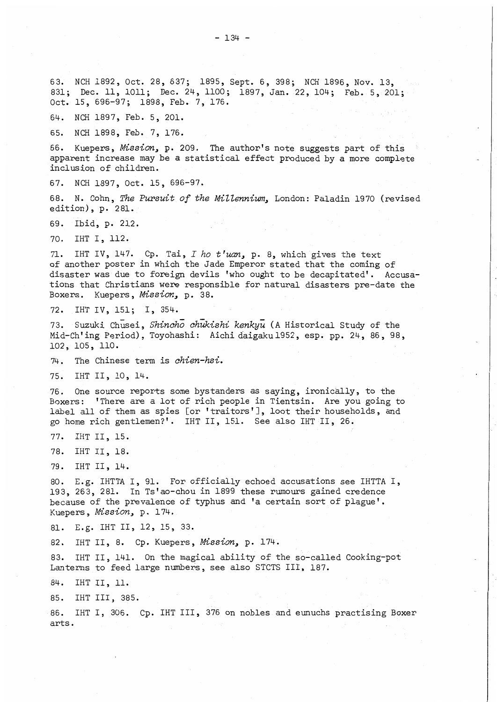831; Dec. 11, 1011; Dec. 24, 1100; 1897, Jan. 22, 104; Feb. 5, 201; Oct. 15, 696-97; 1898, Feb. 7,176.

64. NCH 1897, Feb. 5, 201.

65. NCH 1898, Feb. 7, 176.

66. Kuepers, Mission~ **p.** 209. The author's note suggests part of this apparent increase may be a statistical effect produced by a more complete inclusion of children.

67. NCH 1897, Oct. 15, 696-97.

68. N. Cohn, *The Pursuit of the Millennium*, London: Paladin 1970 (revised edition), p. 28l.

69. Ibid, p. 212.

70. IHT I, 112.

71. IHT IV, 147. Cp. Tai, *I ho t'uan*, p. 8, which gives the text of another poster in which the Jade Emperor stated that the coming of disaster was due to foreign devils 'who ought to be decapitated'. Accusations that Christians were responsible for natural disasters pre-date the Boxers. Kuepers, Mission, p. 38.

72. IHT IV, 151; I, 354.

73. Suzuki Chusei, *Shincho chukishi kenkyu* (A Historical Study of the Mid-Ch'ing Period), Toyohashi: Aichi daigaku1952 , esp. pp. 24, 86,98, 102, 105, 110.

74. The Chinese term is *ohien-hsi.* 

75. IHT 11, 10, 14.

76. One source reports some bystanders as saying, ironically, to the Boxers: 'There are a lot of rich people in Tientsin. Are you going to label all of them as spies [or 'traitors' J, loot their households, and go home rich gentlemen?'. IHT 11, 151. See also 1HT 11, 26.

77. IHT II, 15.

78. IHT 11, 18.

79. IHT 11, 14.

80. E.g. IHTTA I, 91. For officially echoed accusations see IHTTA I, 193, 263, 281. In Ts'ao-chou in 1899 these rumours gained credence because of the prevalence of typhus and 'a certain sort of plague'. Kuepers, *Mission3* p. 174.

81. E.g. IHT 11, 12, 15, 33.

82. IHT II, 8. Cp. Kuepers, *Mission*, p. 174.

83. IHT 11, 141. On the magical ability of the so-called Cooking-pot Lanterns to feed large numbers, see also STCTS Ill, 187.

84. IHT 11, 11.

85. IHT III, 385.

86. IHT I, 306. Cp. IHT Ill, 376 on nobles and eunuchs practising Boxer arts.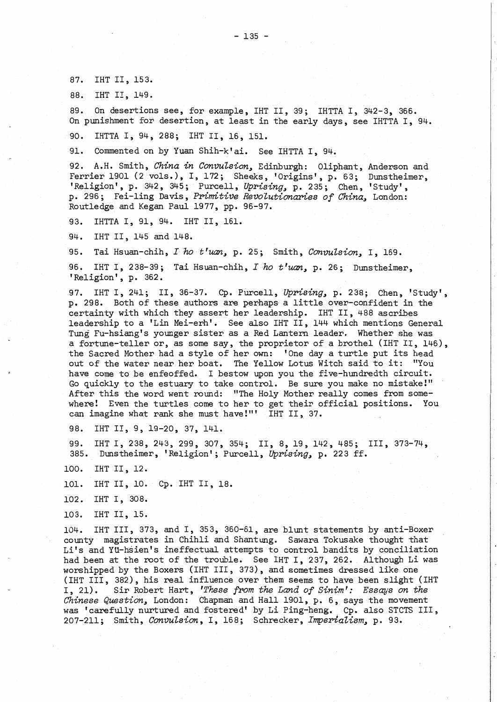87. IHT 11, 153.

88. IHT 11, 149.

89. On desertions see, for example, IHT Il, 39; IHTTA I, 342-3, 366. On punishment for desertion, at least in the early days, see IHTTA I, 94.

90. IHTTA I, 94, 288; IHT Il, 16, 15L

91. Commented on by Yuan Shih-k'ai. See IHTTA I, 94.

92. A.H. Smith, *China in Convulsion*, Edinburgh: Oliphant, Anderson and Ferrier 1901 (2 vols.), 1,172; Sheeks, 'Origins', p. 63; Dunstheimer, 'Religion', p. 342, 345; Purcell, Uprising, p. 235; Chen, 'Study', p. 296; Fei-ling Davis, *Primitive Revolutionaries of China*, London: Routledge and Kegan Paul 1977, pp. 96-97.

93. IHTTA I, 91, 94. IHT II, 161.

94. IHT 11, 145 and 148.

95. Tai Hsuan-chih, *I ho t'uan*, p. 25; Smith, Convulsion, I, 169.

96. IHT I, 238-39; Tai Hsuan-chih, *Iho* t'uan~ p. 26; Dunstheimer, 'Religion', p. 362.

97. IHT I, 241; II, 36-37. Cp. Purcell, Uprising, p. 238; Chen, 'Study', p. 298. Both of these authors are perhaps a little over-confident in the certainty with which they assert her leadership. IHT 11, 488 ascribes leadership to a 'Lin Mei-erh '. See also IHT Il, 144 which mentions General Tung Fu-hsiang's younger sister as a Red Lantern leader. Whether she was a fortune-teller or, as some say, the proprietor of a brothel (IHT II, 146), the Sacred Mother had a style of her own: 'One day a turtle put its head out of the water near her boat. The Yellow Lotus Witch said to it: "You have come to be enfeoffed. I bestow upon you the five-hundredth circuit. Go quickly to the estuary to take controL Be sure you make no mistake!" After this the word went round: "The Holy Mother really comes from somewhere! Even the turtles come to her to get their official positions. You can imagine what rank she must have!"' IHT II, 37.

98. IHT 11, 9, 19-20, 37, 141.

99. 385. IHT 1,238,243,299,307,354; Il, 8,19,142,485; Ill, 373-74, Dunstheimer, 'Religion'; Purcell, Uprising, p. 223 ff.

100. IHT Il, 12.

101. IHT 11, 10. Cp. IHT 11, 18.

102. IHT I, 308.

103. IHT 11, 15.

104. IHT III, 373, and I, 353, 360-61, are blunt statements by anti-Boxer county magistrates in Chihli and Shantung. Sawara Tokusake thought that Li's and Yu-hsien's ineffectual attempts to control bandits by conciliation had been at the root of the trouble. See IHT I, 237, 262. Although Li was worshipped by the Boxers (IHT Ill, 373), and sometimes dressed like one (IHT III, 382), his real influence over them seems to have been slight (IHT I, 21). Sir Robert Hart, 'These from the Land of Sinim': *Essays on the Chinese Question*, London: Chapman and Hall 1901, p. 6, says the movement was 'carefully nurtured and fostered' by Li Ping-heng. Cp. also STCTS III, 207-211; Smith, *Convulsion,* I, 168; Schrecker, Imperialism~ p. 93.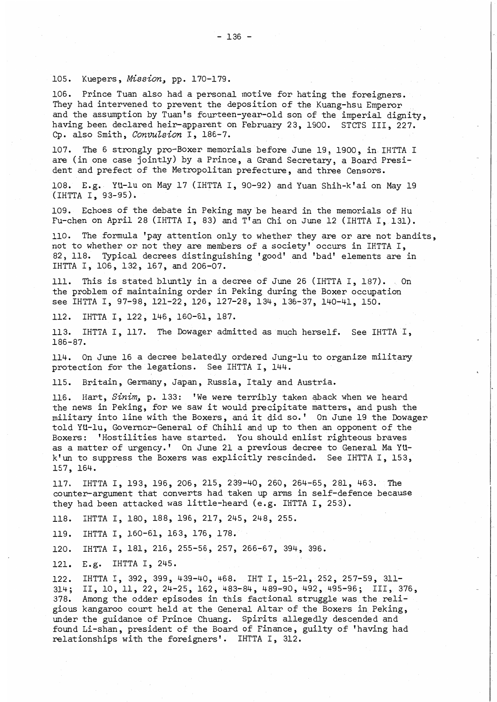105. Kuepers, Mission, pp. 170-179.

106. Prince Tuan also had a personal motive for hating the foreigners. They had intervened to prevent the deposition of the Kuang-hsu Emperor and the assumption by Tuan's fourteen-year-old son of the imperial dignity, having been declared heir-apparent on February 23, 1900. STCTS III, 227. Cp. also Smith, *Convulsion* I, 186-7.

107. The 6 strongly pro-Boxer memorials before June 19, 1900, in IHTTA I are (in one case jointly) by a Prince, a Grand Secretary, a Board President and prefect of the Metropolitan prefecture, and three Censors.

108. E.g. YU-lu on May 17 (IHTTA I, 90-92) and Yuan Shih-k'ai on May 19 (IHTTA I, 93-95).

109. Echoes of the debate in Peking may be heard in the memorials of Hu Fu-chen on April 28 (IHTTA I, 83) and T'an Chi on June 12 (IHTTA I, 131).

110. The formula 'pay attention only to whether they are or are not bandits, not to whether or not they are members of a society' occurs in IHTTA I, 82, 118. TYpical decrees distinguishing 'good' and 'bad' elements are in IHTTA I, 106, 132, 167, and 206-07.

111. This is stated bluntly in a decree of June 26 (IHTTA I, 187). On the problem of maintaining order in Peking during the Boxer occupation see IHTTA I, 97-98, 121-22, 126, 127-28, 134, 136-37, 140-41, 150.

112. IHTTA I, 122, 146, 160-61, 187.

113. IHTTA I, 117. The Dowager admitted as much herself. See IHTTA I, 186-87.

114. On June 16 a decree belatedly ordered Jung-lu to organize military protection for the legations. See IHTTA I, 144.

115. Britain, Germany, Japan, Russia, Italy and Austria.

116. Hart, Sinim, p. 133: 'We were terribly taken aback when we heard the news in Peking, for we saw it would precipitate matters, and push the military into line with the Boxers, and it did so.' On June 19 the Dowager told YU-lu, Governor-General of Chihli and up to then an opponent of the Boxers: 'Hostilities have started. You should enlist righteous braves as a matter of urgency.' On June 21 a previous decree to General Ma YUk'un to suppress the Boxers was explicitly rescinded. See IHTTA I, 153, 157, 164.

117. IHTTA I, 193, 196, 206, 215, 239-40, 260, 264-65, 281, 463. The counter-argument that converts had taken up arms in self-defence because they had been attacked was little-heard (e.g. IHTTA I, 253).

118. IHTTA I, 180, 188, 196, 217, 245, 248, 255.

119. IHTTA I, 160-61, 163, 176, 178.

120. IHTTA I, 181, 216, 255-56, 257, 266-67, 394, 396.

121. E.g. IHTTA I, 245.

122. IHTTA I, 392, 399, 439-40, 468. IHT I, 15-21, 252, 257-59, 311- 314; II, 10, 11, 22, 24-25, 162, 483-84, 489-90,492, 495-96; III, 376, 378. Among the odder episodes in this factional struggle was the. religious kangaroo court held at the General Altar of the Boxers in Peking, under the guidance of Prince Chuang. Spirits allegedly descended and found Li-shan, president of the Board of Finance, guilty of 'having had relationships with the foreigners'. IHTTA I, 312.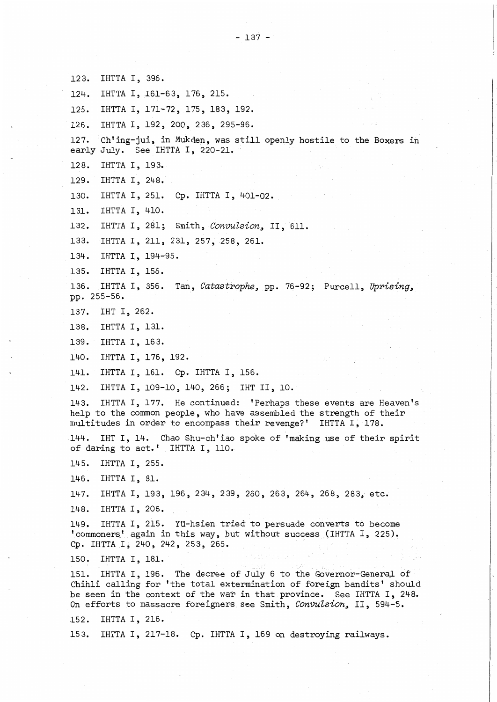123. IHTTA I, 396. 124. IHTTA I, 161-63, 176, 215. 125. IHTTA I, 171-72, 175, 183, 192. 126. IHTTA I, 192, 200, 236, 295-96. 127. Ch'ing-jui, in Mukden, was still openly hostile to the Boxers in early July. See IHTTA I, 220-21. 128. IHTTA I, 193. 129. IHTTA I, 248. 130. IHTTA I, 251. Cp. IHTTA I, 401-02. 131. IHTTA I, 410. 132. IHTTA I, 281; Smith, *Convulsion3* II, 611. 133. IHTTA I, 211, 231, 257, 258, 261. 134. IHTTA I, 194-95. 135. IHTTA I, 156. 136. IHTTA I, 356. Tan, *Catastrophe*, pp. 76-92; Purcell, *Uprising*, pp. 255-56. 137. IHT I, 262. 138. IHTTA I, 131. 139. IHTTA I, 163. 140. IHTTA I, 176, 192. 141. IHTTA I, 16l. Cp. IHTTA I, 156. 142. IHTTA I, 109-10, 140, 266; IHT II, 10. 143. IHTTA I, 177. He continued: 'Perhaps these events are Heaven's help to the common people, who have assembled the strength of their multitudes in order to encompass their revenge?' IHTTA I, 178. 144. IHT I, 14. Chao Shu-ch'iao spoke of 'making use of their spirit of daring to act.' IHTTA I, 110. 145. IHTTA I, 255. 146. IHTTA I, 81. 147. IHTTA 1,193, 196,234,239, 260, 263, 264, 268, 283, etc. 148. IHTTA I, 206. 149. IHTTA I, 215. YU-hsien tried to persuade converts to become 'commoners' again in this way, but without success (IHTTA I, 225). Cp. IHTTAI, 240, 242, 253, 265. 150. IHTTA I, 181. 151. IHTTA I, 196. The decree of July 6 to the Governor-General of Chihli calling for 'the total extermination of foreign bandits' should be seen in the context of the war in that province. See IHTTA I, 248. On efforts to massacre foreigners see Smith, *Convulsion*, II, 594-5. 152. IHTTA I, 216. 153. IHTTA I, 217-18. Cp. IHTTA I, 169 on destroying railways.

 $- 137 -$